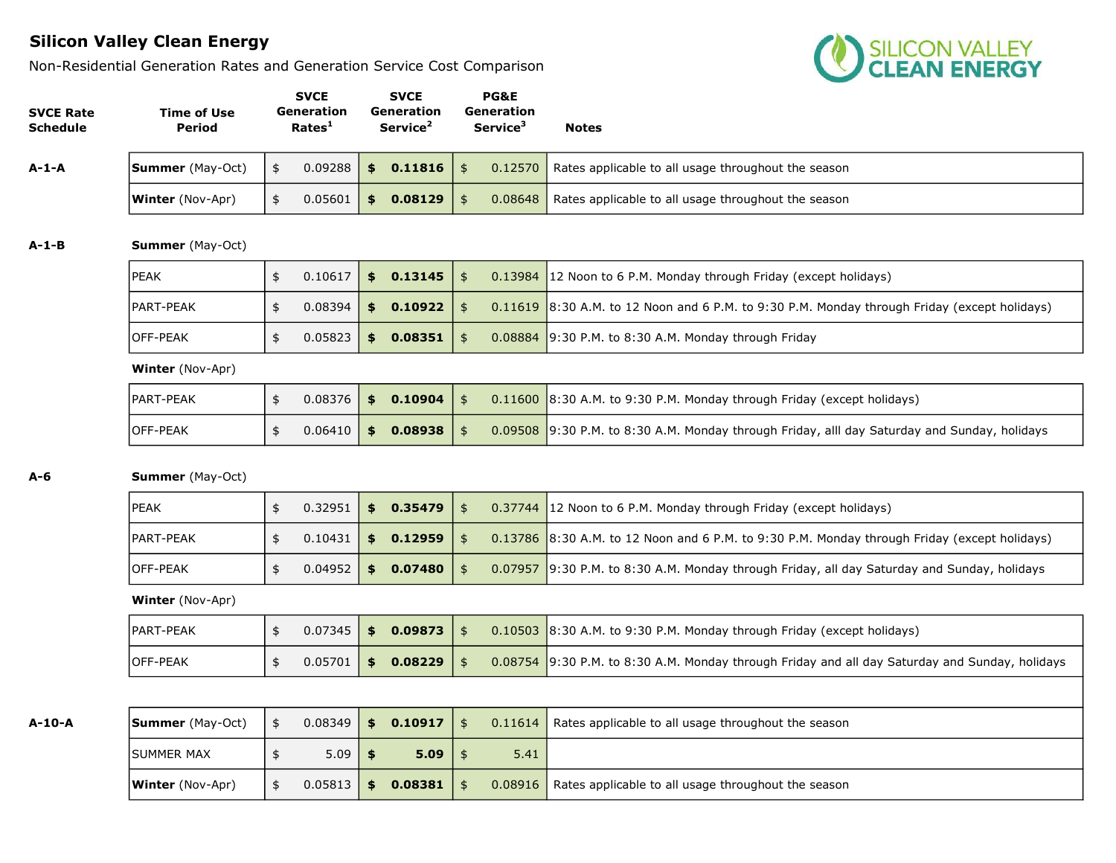Non-Residential Generation Rates and Generation Service Cost Comparison



| <b>SVCE Rate</b><br><b>Schedule</b> | <b>Time of Use</b><br>Period | <b>SVCE</b><br>Generation<br>Rates <sup>1</sup> | <b>SVCE</b><br>Generation<br>Service <sup>2</sup> |               | PG&E<br>Generation<br>Service <sup>3</sup> | <b>Notes</b>                                                                           |
|-------------------------------------|------------------------------|-------------------------------------------------|---------------------------------------------------|---------------|--------------------------------------------|----------------------------------------------------------------------------------------|
| A-1-A                               | <b>Summer</b> (May-Oct)      | \$<br>0.09288                                   | \$<br>0.11816                                     | $\frac{4}{5}$ | 0.12570                                    | Rates applicable to all usage throughout the season                                    |
|                                     | <b>Winter</b> (Nov-Apr)      | \$<br>0.05601                                   | \$<br>0.08129                                     | \$            | 0.08648                                    | Rates applicable to all usage throughout the season                                    |
| $A-1-B$                             | <b>Summer</b> (May-Oct)      |                                                 |                                                   |               |                                            |                                                                                        |
|                                     | <b>IPEAK</b>                 | \$<br>0.10617                                   | \$<br>0.13145                                     | $\frac{1}{2}$ | 0.13984                                    | 12 Noon to 6 P.M. Monday through Friday (except holidays)                              |
|                                     | PART-PEAK                    | \$<br>0.08394                                   | \$<br>0.10922                                     | $\frac{4}{5}$ | 0.11619                                    | 8:30 A.M. to 12 Noon and 6 P.M. to 9:30 P.M. Monday through Friday (except holidays)   |
|                                     | OFF-PEAK                     | \$<br>0.05823                                   | \$<br>0.08351                                     | $\frac{4}{5}$ | 0.08884                                    | 9:30 P.M. to 8:30 A.M. Monday through Friday                                           |
|                                     | <b>Winter</b> (Nov-Apr)      |                                                 |                                                   |               |                                            |                                                                                        |
|                                     | PART-PEAK                    | \$<br>0.08376                                   | \$<br>0.10904                                     | $\frac{1}{2}$ | 0.11600                                    | 8:30 A.M. to 9:30 P.M. Monday through Friday (except holidays)                         |
|                                     | OFF-PEAK                     | \$<br>0.06410                                   | \$<br>0.08938                                     | $\frac{1}{2}$ | 0.09508                                    | 9:30 P.M. to 8:30 A.M. Monday through Friday, alll day Saturday and Sunday, holidays   |
| A-6                                 | <b>Summer</b> (May-Oct)      |                                                 |                                                   |               |                                            |                                                                                        |
|                                     | <b>PEAK</b>                  | \$<br>0.32951                                   | \$<br>0.35479                                     | $\frac{1}{2}$ | 0.37744                                    | 12 Noon to 6 P.M. Monday through Friday (except holidays)                              |
|                                     | PART-PEAK                    | \$<br>0.10431                                   | \$<br>0.12959                                     | $\frac{1}{2}$ | 0.13786                                    | 8:30 A.M. to 12 Noon and 6 P.M. to 9:30 P.M. Monday through Friday (except holidays)   |
|                                     | OFF-PEAK                     | \$<br>0.04952                                   | \$<br>0.07480                                     | $\frac{1}{2}$ | 0.07957                                    | 9:30 P.M. to 8:30 A.M. Monday through Friday, all day Saturday and Sunday, holidays    |
|                                     | Winter (Nov-Apr)             |                                                 |                                                   |               |                                            |                                                                                        |
|                                     | PART-PEAK                    | \$<br>0.07345                                   | \$<br>0.09873                                     | $\frac{4}{5}$ | 0.10503                                    | $\vert$ 8:30 A.M. to 9:30 P.M. Monday through Friday (except holidays)                 |
|                                     | OFF-PEAK                     | \$<br>0.05701                                   | \$<br>0.08229                                     | $\frac{4}{5}$ | 0.08754                                    | 9:30 P.M. to 8:30 A.M. Monday through Friday and all day Saturday and Sunday, holidays |
|                                     |                              |                                                 |                                                   |               |                                            |                                                                                        |
| $A-10-A$                            | <b>Summer</b> (May-Oct)      | \$<br>0.08349                                   | \$<br>0.10917                                     | $\frac{1}{2}$ | 0.11614                                    | Rates applicable to all usage throughout the season                                    |
|                                     | <b>SUMMER MAX</b>            | \$<br>5.09                                      | \$<br>5.09                                        | $\pmb{\$}$    | 5.41                                       |                                                                                        |
|                                     | <b>Winter</b> (Nov-Apr)      | \$<br>0.05813                                   | \$<br>0.08381                                     | \$            | 0.08916                                    | Rates applicable to all usage throughout the season                                    |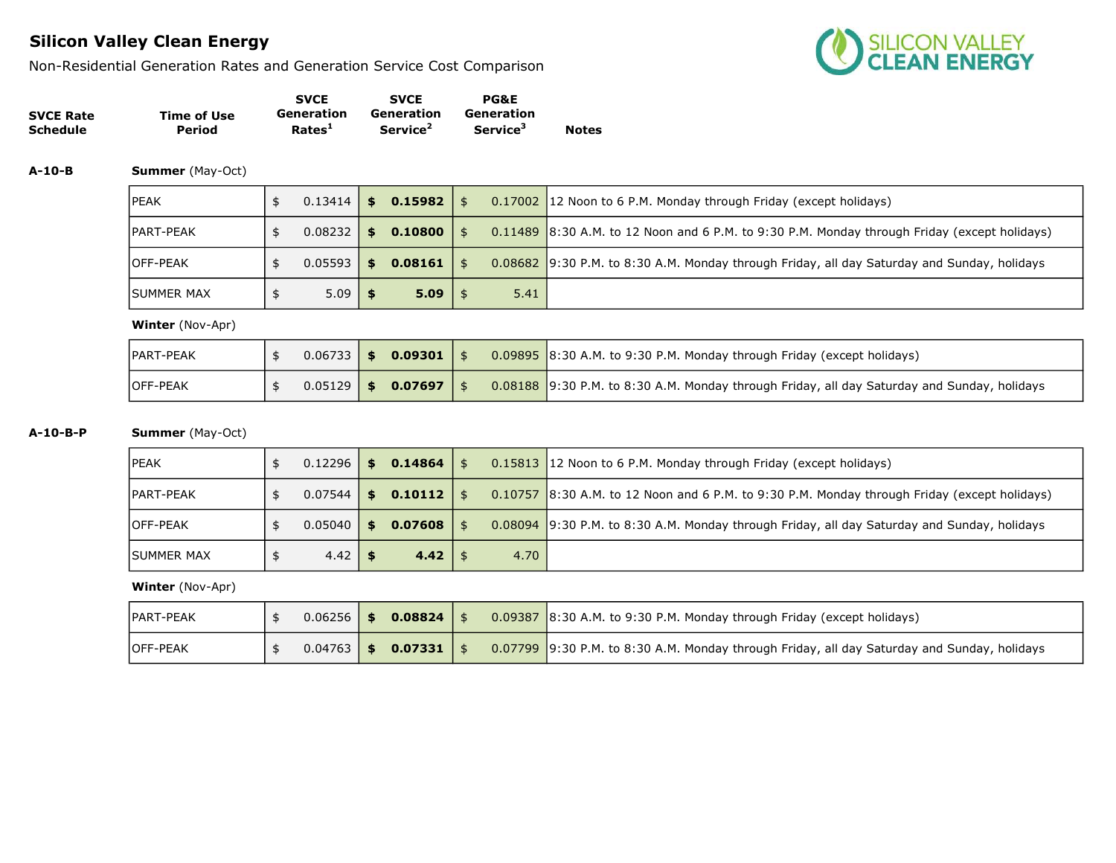Non-Residential Generation Rates and Generation Service Cost Comparison



|                  |             | <b>SVCE</b>        | <b>SVCE</b>          | <b>PG&amp;E</b>             |              |
|------------------|-------------|--------------------|----------------------|-----------------------------|--------------|
| <b>SVCE Rate</b> | Time of Use | Generation         | Generation           | Generation                  |              |
| Schedule         | Period      | Rates <sup>1</sup> | Service <sup>2</sup> | <b>Service</b> <sup>3</sup> | <b>Notes</b> |

A-10-B Summer (May-Oct)

| <b>IPEAK</b> | $0.13414$ \$   | 0.15982 | \$         |      | 0.17002 12 Noon to 6 P.M. Monday through Friday (except holidays)                            |
|--------------|----------------|---------|------------|------|----------------------------------------------------------------------------------------------|
| IPART-PEAK   | $0.08232$   \$ | 0.10800 |            |      | 0.11489 8:30 A.M. to 12 Noon and 6 P.M. to 9:30 P.M. Monday through Friday (except holidays) |
| lOFF-PEAK    | $0.05593$ \$   | 0.08161 | $\uparrow$ |      | 0.08682 9:30 P.M. to 8:30 A.M. Monday through Friday, all day Saturday and Sunday, holidays  |
| ISUMMER MAX  | $5.09$   \$    | 5.09    |            | 5.41 |                                                                                              |

Winter (Nov-Apr)

| <b>PART-PEAK</b> |  | $0.06733$   \$ 0.09301   \$ |  | $0.09895$ 8:30 A.M. to 9:30 P.M. Monday through Friday (except holidays)                    |
|------------------|--|-----------------------------|--|---------------------------------------------------------------------------------------------|
| <b>IOFF-PEAK</b> |  | $0.05129$   \$ 0.07697   \$ |  | 0.08188 9:30 P.M. to 8:30 A.M. Monday through Friday, all day Saturday and Sunday, holidays |

#### A-10-B-P Summer (May-Oct)

# PEAK  $\ket{\$}$  0.12296  $\ket{\$}$  0.14864  $\ket{\$}$  0.15813 12 Noon to 6 P.M. Monday through Friday (except holidays) PART-PEAK  $\ket{\$}$  0.07544  $\ket{\$}$  0.10112  $\ket{\$}$  0.10757 8:30 A.M. to 12 Noon and 6 P.M. to 9:30 P.M. Monday through Friday (except holidays) OFF-PEAK  $\ket{\$}$  0.05040  $\ket{\$}$  0.07608  $\ket{\$}$  0.08094 9:30 P.M. to 8:30 A.M. Monday through Friday, all day Saturday and Sunday, holidays SUMMER MAX  $\frac{1}{3}$  4.42  $\frac{1}{3}$  4.42  $\frac{1}{3}$  4.70

| <b>PART-PEAK</b> |  | $0.06256$ \$ 0.08824       |     | $0.09387$ 8:30 A.M. to 9:30 P.M. Monday through Friday (except holidays)                                |
|------------------|--|----------------------------|-----|---------------------------------------------------------------------------------------------------------|
| <b>IOFF-PEAK</b> |  | $0.04763$   \$ 0.07331   \ | -\$ | $\big\vert$ 0.07799 9:30 P.M. to 8:30 A.M. Monday through Friday, all day Saturday and Sunday, holidays |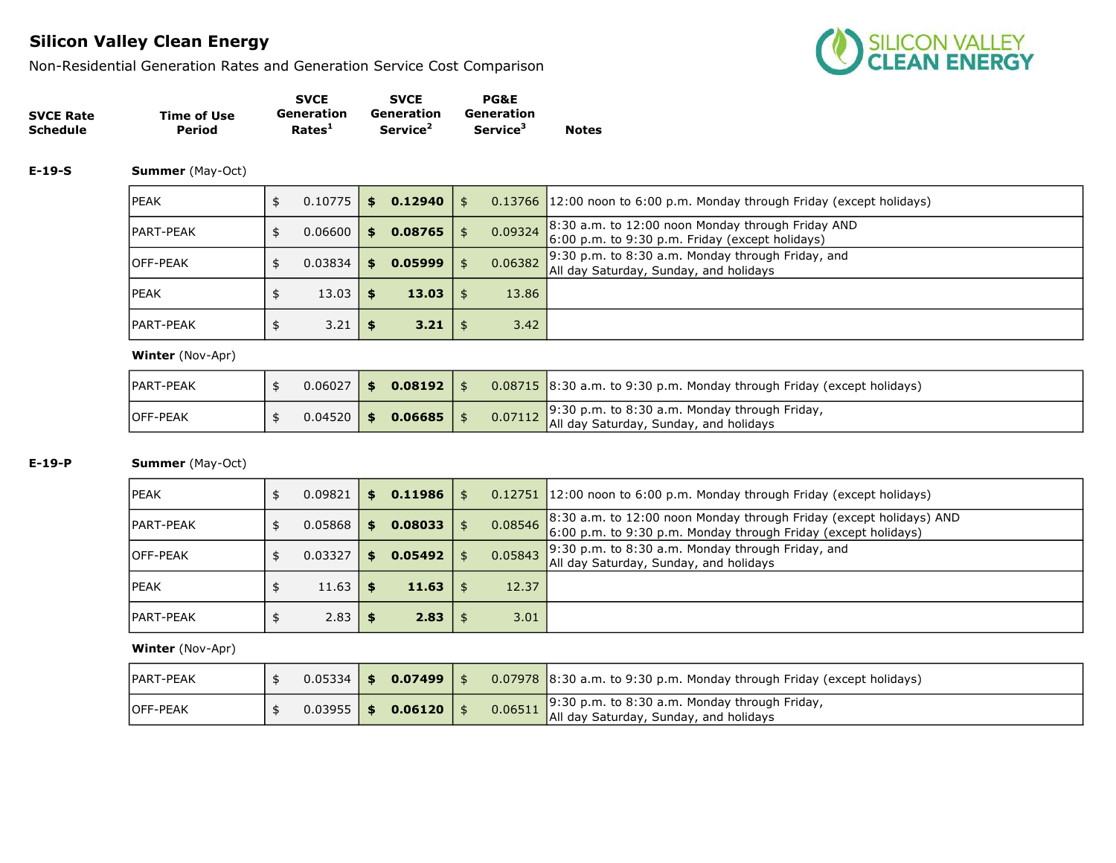Non-Residential Generation Rates and Generation Service Cost Comparison



|                  |             | <b>SVCE</b>        | <b>SVCE</b>          | <b>PG&amp;E</b>      |              |
|------------------|-------------|--------------------|----------------------|----------------------|--------------|
| <b>SVCE Rate</b> | Time of Use | Generation         | Generation           | Generation           |              |
| <b>Schedule</b>  | Period      | Rates <sup>1</sup> | Service <sup>2</sup> | Service <sup>3</sup> | <b>Notes</b> |

#### E-19-S Summer (May-Oct)

| <b>IPEAK</b>      | $0.10775$ \$ |     | 0.12940 | \$   |         | 0.13766 12:00 noon to 6:00 p.m. Monday through Friday (except holidays)                              |
|-------------------|--------------|-----|---------|------|---------|------------------------------------------------------------------------------------------------------|
| <b>IPART-PEAK</b> | 0.06600      | SS. | 0.08765 |      | 0.09324 | 8:30 a.m. to 12:00 noon Monday through Friday AND<br>6:00 p.m. to 9:30 p.m. Friday (except holidays) |
| <b>OFF-PEAK</b>   | 0.03834      | \$. | 0.05999 |      | 0.06382 | $9:30$ p.m. to 8:30 a.m. Monday through Friday, and<br>All day Saturday, Sunday, and holidays        |
| <b>IPEAK</b>      | $13.03$ \$   |     | 13.03   |      | 13.86   |                                                                                                      |
| <b>IPART-PEAK</b> | $3.21$ \$    |     | 3.21    | - SS | 3.42    |                                                                                                      |

#### Winter (Nov-Apr)

| PART-PEAK        | $0.06027$ \$ | 0.08192 |  | $\vert$ 0.08715 $\vert$ 8:30 a.m. to 9:30 p.m. Monday through Friday (except holidays)                                     |
|------------------|--------------|---------|--|----------------------------------------------------------------------------------------------------------------------------|
| <b>IOFF-PEAK</b> | $0.04520$ \$ | 0.06685 |  | 0.07112 9:30 p.m. to 8:30 a.m. Monday through Friday, $\frac{9.30 \text{ p.m.}}{4}$ all day Saturday, Sunday, and holidays |

### E-19-P Summer (May-Oct)

| <b>IPEAK</b>      | 0.09821 | S.  | 0.11986 |         | 0.12751 12:00 noon to 6:00 p.m. Monday through Friday (except holidays)                                                               |
|-------------------|---------|-----|---------|---------|---------------------------------------------------------------------------------------------------------------------------------------|
| <b>IPART-PEAK</b> | 0.05868 | \$  | 0.08033 | 0.08546 | 8:30 a.m. to 12:00 noon Monday through Friday (except holidays) AND<br>6:00 p.m. to 9:30 p.m. Monday through Friday (except holidays) |
| <b>IOFF-PEAK</b>  | 0.03327 | \$. | 0.05492 | 0.05843 | $9:30$ p.m. to 8:30 a.m. Monday through Friday, and<br>All day Saturday, Sunday, and holidays                                         |
| <b>IPEAK</b>      | 11.63   |     | 11.63   | 12.37   |                                                                                                                                       |
| <b>IPART-PEAK</b> | 2.83    |     | 2.83    | 3.01    |                                                                                                                                       |

| <b>IPART-PEAK</b> |                | $0.05334$ \$ 0.07499 \ |         | $0.07978$ 8:30 a.m. to 9:30 p.m. Monday through Friday (except holidays)                |
|-------------------|----------------|------------------------|---------|-----------------------------------------------------------------------------------------|
| <b>IOFF-PEAK</b>  | $0.03955$   \$ | 0.06120                | 0.06511 | 9:30 p.m. to 8:30 a.m. Monday through Friday,<br>All day Saturday, Sunday, and holidays |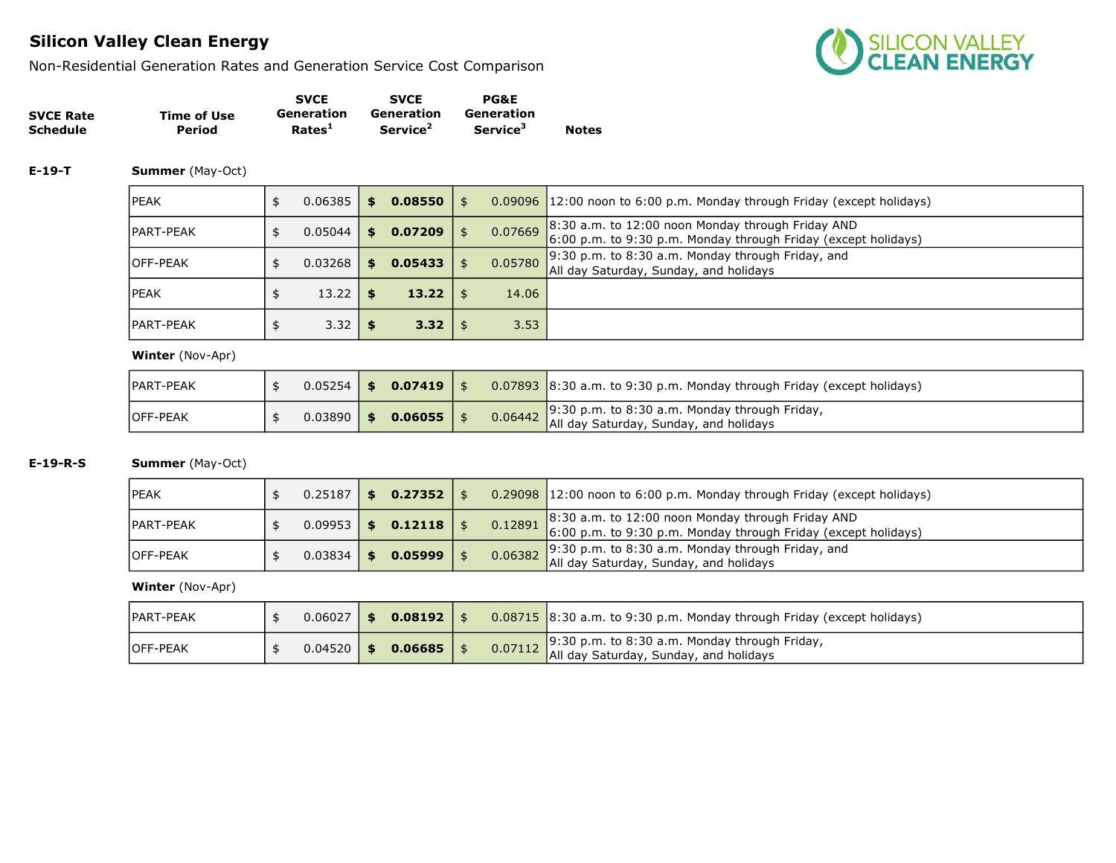Non-Residential Generation Rates and Generation Service Cost Comparison



|                  |             | <b>SVCE</b>        | <b>SVCE</b>          | <b>PG&amp;E</b>      |              |
|------------------|-------------|--------------------|----------------------|----------------------|--------------|
| <b>SVCE Rate</b> | Time of Use | Generation         | Generation           | Generation           |              |
| <b>Schedule</b>  | Period      | Rates <sup>1</sup> | Service <sup>2</sup> | Service <sup>3</sup> | <b>Notes</b> |

#### E-19-T Summer (May-Oct)

| <b>IPEAK</b>      | 0.06385 | \$ | 0.08550 | \$            | 0.09096 12:00 noon to 6:00 p.m. Monday through Friday (except holidays)                                                     |
|-------------------|---------|----|---------|---------------|-----------------------------------------------------------------------------------------------------------------------------|
| <b>IPART-PEAK</b> | 0.05044 | S. | 0.07209 | \$<br>0.07669 | $\vert$ 8:30 a.m. to 12:00 noon Monday through Friday AND<br>6:00 p.m. to 9:30 p.m. Monday through Friday (except holidays) |
| <b>OFF-PEAK</b>   | 0.03268 | S  | 0.05433 | 0.05780       | $\vert$ 9:30 p.m. to 8:30 a.m. Monday through Friday, and<br>All day Saturday, Sunday, and holidays                         |
| <b>IPEAK</b>      | 13.22   | \$ | 13.22   | 14.06         |                                                                                                                             |
| <b>IPART-PEAK</b> | 3.32    |    | 3.32    | 3.53          |                                                                                                                             |

#### Winter (Nov-Apr)

| <b>IPART-PEAK</b> |             | $0.05254$   \$ 0.07419 |  | $\vert$ 0.07893 $\vert$ 8:30 a.m. to 9:30 p.m. Monday through Friday (except holidays)          |
|-------------------|-------------|------------------------|--|-------------------------------------------------------------------------------------------------|
| <b>OFF-PEAK</b>   | $0.03890$ 5 | 0.06055                |  | 0.06442 9:30 p.m. to 8:30 a.m. Monday through Friday,<br>All day Saturday, Sunday, and holidays |

### E-19-R-S Summer (May-Oct)

| <b>IPEAK</b>     | 0.25187 | S.  | $0.27352 \mid$ \$ |  | $0.29098$ 12:00 noon to 6:00 p.m. Monday through Friday (except holidays)                                                   |
|------------------|---------|-----|-------------------|--|-----------------------------------------------------------------------------------------------------------------------------|
| PART-PEAK        | 0.09953 | S.  | $0.12118$   \$    |  | 0.12891 8:30 a.m. to 12:00 noon Monday through Friday AND<br>6:00 p.m. to 9:30 p.m. Monday through Friday (except holidays) |
| <b>IOFF-PEAK</b> | 0.03834 | \$. | 0.05999           |  | 0.06382 9:30 p.m. to 8:30 a.m. Monday through Friday, and<br>All day Saturday, Sunday, and holidays                         |

| <b>IPART-PEAK</b> | 0.06027 | $0.08192$   \$ |  | $0.08715$ 8:30 a.m. to 9:30 p.m. Monday through Friday (except holidays)                                                   |
|-------------------|---------|----------------|--|----------------------------------------------------------------------------------------------------------------------------|
| <b>IOFF-PEAK</b>  | 0.04520 | 0.06685        |  | 0.07112 9:30 p.m. to 8:30 a.m. Monday through Friday, $\frac{9.30 \text{ p.m.}}{4}$ all day Saturday, Sunday, and holidays |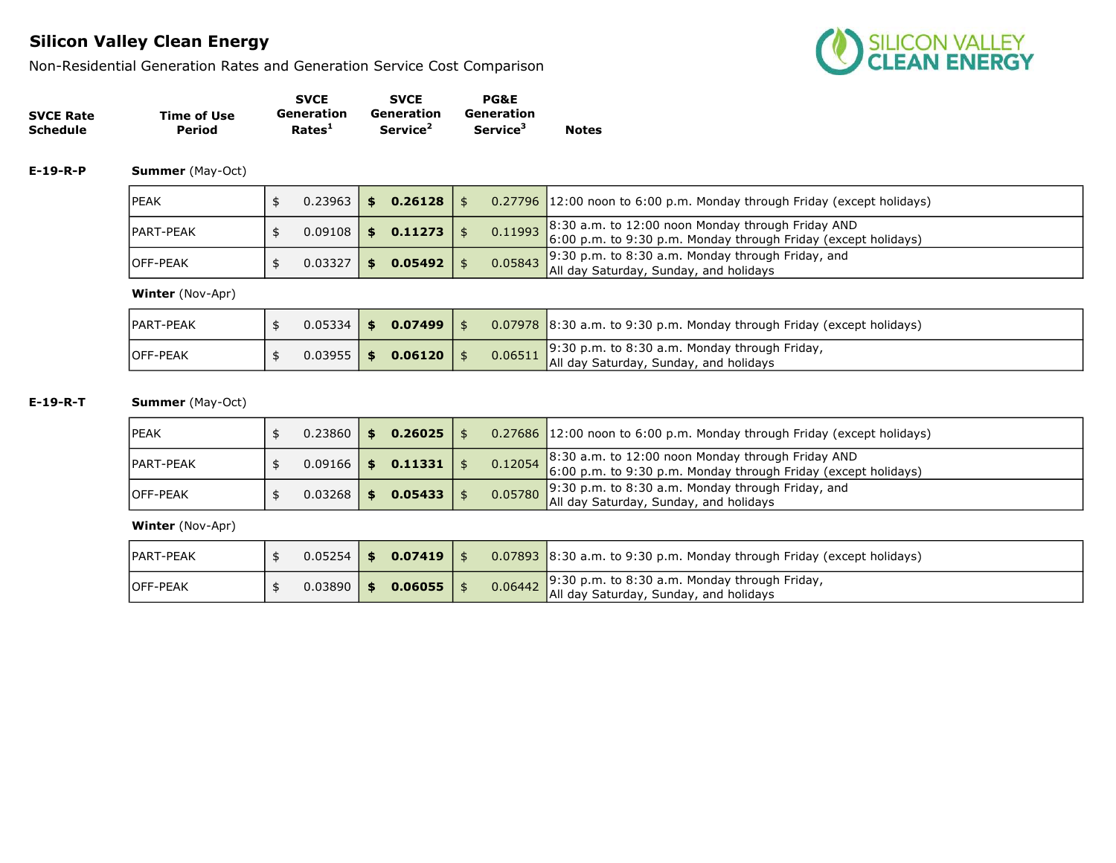Non-Residential Generation Rates and Generation Service Cost Comparison



|                  |             | <b>SVCE</b>        | <b>SVCE</b>          | <b>PG&amp;E</b>             |              |
|------------------|-------------|--------------------|----------------------|-----------------------------|--------------|
| <b>SVCE Rate</b> | Time of Use | Generation         | Generation           | Generation                  |              |
| <b>Schedule</b>  | Period      | Rates <sup>1</sup> | Service <sup>2</sup> | <b>Service</b> <sup>3</sup> | <b>Notes</b> |

E-19-R-P Summer (May-Oct)

| <b>IPEAK</b>      | 0.23963 | \$. | $0.26128$   \$    |  | 0.27796 12:00 noon to 6:00 p.m. Monday through Friday (except holidays)                                                       |
|-------------------|---------|-----|-------------------|--|-------------------------------------------------------------------------------------------------------------------------------|
| <b>IPART-PEAK</b> | 0.09108 | \$  | $0.11273$   \$    |  | 0.11993 8:30 a.m. to 12:00 noon Monday through Friday AND<br>$6:00$ p.m. to 9:30 p.m. Monday through Friday (except holidays) |
| <b>IOFF-PEAK</b>  | 0.03327 | \$. | $0.05492 \mid$ \$ |  | 9:30 p.m. to 8:30 a.m. Monday through Friday, and<br><b>0.05843</b> All day Saturday, Sunday, and holidays                    |

Winter (Nov-Apr)

| <b>IPART-PEAK</b> | $0.05334$ \$ | 0.07499 |         | $\vert$ 0.07978 $\vert$ 8:30 a.m. to 9:30 p.m. Monday through Friday (except holidays)           |
|-------------------|--------------|---------|---------|--------------------------------------------------------------------------------------------------|
| <b>IOFF-PEAK</b>  | $0.03955$ \$ | 0.06120 | 0.06511 | $\sqrt{9:30}$ p.m. to 8:30 a.m. Monday through Friday,<br>All day Saturday, Sunday, and holidays |

E-19-R-T Summer (May-Oct)

| <b>IPEAK</b>      | $0.23860$   \$ | $0.26025$   \$       |  | $\vert$ 0.27686 12:00 noon to 6:00 p.m. Monday through Friday (except holidays)                                                                  |
|-------------------|----------------|----------------------|--|--------------------------------------------------------------------------------------------------------------------------------------------------|
| <b>IPART-PEAK</b> |                | $0.09166$ \$ 0.11331 |  | 0.12054 8:30 a.m. to 12:00 noon Monday through Friday AND<br>6:00 p.m. to 9:30 p.m. Monday through Friday (except holidays)                      |
| <b>IOFF-PEAK</b>  | $0.03268$   \$ | $0.05433$   \$       |  | $\frac{1}{2}$ 0.05780 $\frac{1}{2}$ 30 p.m. to 8:30 a.m. Monday through Friday, and 0.05780 $\frac{1}{2}$ all day Saturday, Sunday, and holidays |

| IPART-PEAK       | $0.05254$ $\parallel$ | $0.07419$   \$ |         | $\big\vert$ 0.07893 8:30 a.m. to 9:30 p.m. Monday through Friday (except holidays)             |
|------------------|-----------------------|----------------|---------|------------------------------------------------------------------------------------------------|
| <b>IOFF-PEAK</b> | 0.03890               | $0.06055$   \$ | 0.06442 | $\Box$ 9:30 p.m. to 8:30 a.m. Monday through Friday,<br>All day Saturday, Sunday, and holidays |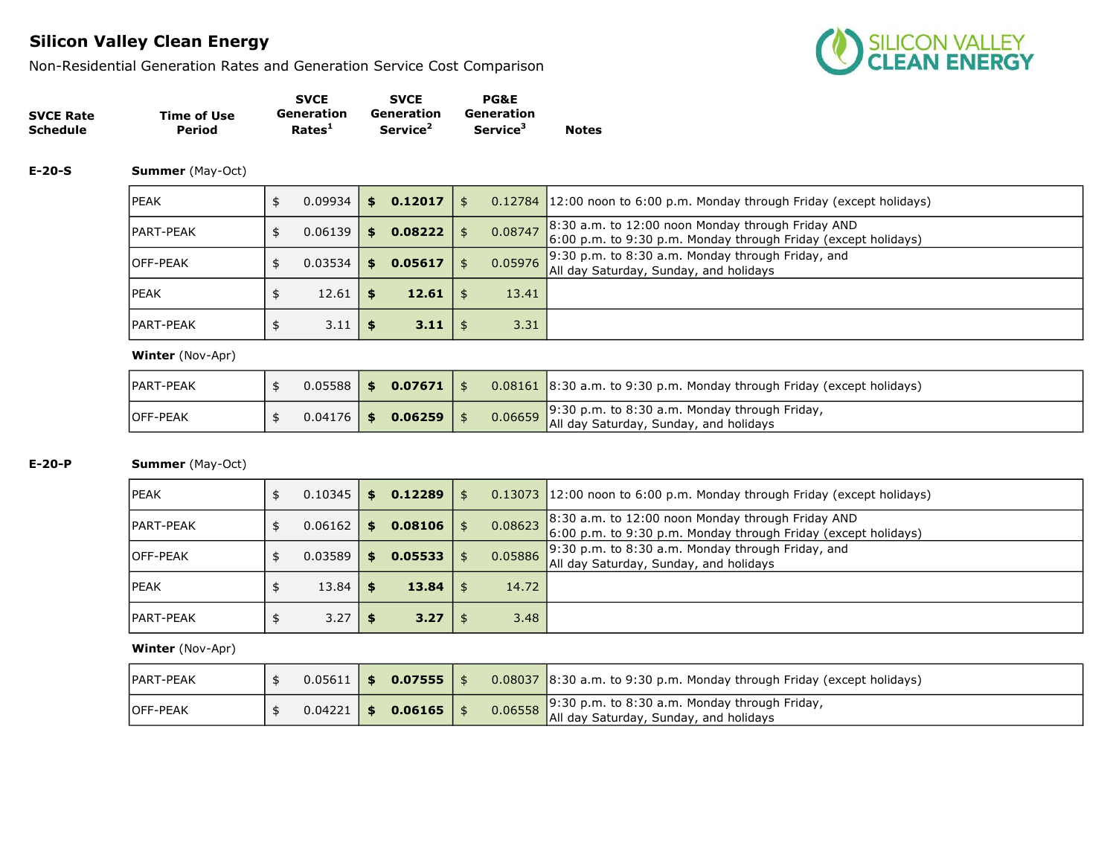Non-Residential Generation Rates and Generation Service Cost Comparison



|                  |                    | <b>SVCE</b>        | <b>SVCE</b>          | <b>PG&amp;E</b>             |              |
|------------------|--------------------|--------------------|----------------------|-----------------------------|--------------|
| <b>SVCE Rate</b> | <b>Time of Use</b> | Generation         | Generation           | Generation                  |              |
| <b>Schedule</b>  | Period             | Rates <sup>1</sup> | Service <sup>2</sup> | <b>Service</b> <sup>3</sup> | <b>Notes</b> |

#### E-20-S Summer (May-Oct)

| lpeak      | 0.09934   | s.  | 0.12017 | \$            | 0.12784 12:00 noon to 6:00 p.m. Monday through Friday (except holidays)                                             |
|------------|-----------|-----|---------|---------------|---------------------------------------------------------------------------------------------------------------------|
| IPART-PEAK | 0.06139   | s.  | 0.08222 | \$<br>0.08747 | 8:30 a.m. to 12:00 noon Monday through Friday AND<br>6:00 p.m. to 9:30 p.m. Monday through Friday (except holidays) |
| lOFF-PEAK  | $0.03534$ | S.  | 0.05617 | 0.05976       | 9:30 p.m. to 8:30 a.m. Monday through Friday, and<br>All day Saturday, Sunday, and holidays                         |
| lpeak      | 12.61     | \$. | 12.61   | 13.41         |                                                                                                                     |
| IPART-PEAK | 3.11      |     | 3.11    | 3.31          |                                                                                                                     |

#### Winter (Nov-Apr)

| IPART-PEAK       |  | $0.05588$ \$ 0.07671 \$ |  | $0.08161$ 8:30 a.m. to 9:30 p.m. Monday through Friday (except holidays)                        |
|------------------|--|-------------------------|--|-------------------------------------------------------------------------------------------------|
| <b>IOFF-PEAK</b> |  | $0.04176$ \$ 0.06259    |  | 0.06659 9:30 p.m. to 8:30 a.m. Monday through Friday,<br>All day Saturday, Sunday, and holidays |

### E-20-P Summer (May-Oct)

| <b>IPEAK</b>      | 0.10345 | \$. | 0.12289           | - \$ |         | 0.13073 12:00 noon to 6:00 p.m. Monday through Friday (except holidays)                                               |
|-------------------|---------|-----|-------------------|------|---------|-----------------------------------------------------------------------------------------------------------------------|
| <b>IPART-PEAK</b> | 0.06162 | \$. | 0.08106           |      | 0.08623 | $8:30$ a.m. to 12:00 noon Monday through Friday AND<br>6:00 p.m. to 9:30 p.m. Monday through Friday (except holidays) |
| <b>IOFF-PEAK</b>  | 0.03589 | \$. | 0.05533           |      | 0.05886 | $9:30$ p.m. to 8:30 a.m. Monday through Friday, and<br>All day Saturday, Sunday, and holidays                         |
| <b>IPEAK</b>      | 13.84   |     | $13.84 \; \times$ |      | 14.72   |                                                                                                                       |
| <b>IPART-PEAK</b> | 3.27    |     | $3.27 \mid$ \$    |      | 3.48    |                                                                                                                       |

| <b>IPART-PEAK</b> | $0.05611$   \$ | $0.07555$   \$       |  | $0.08037$ 8:30 a.m. to 9:30 p.m. Monday through Friday (except holidays)                        |
|-------------------|----------------|----------------------|--|-------------------------------------------------------------------------------------------------|
| <b>IOFF-PEAK</b>  |                | $0.04221$ \$ 0.06165 |  | 9:30 p.m. to 8:30 a.m. Monday through Friday,<br>0.06558 All day Saturday, Sunday, and holidays |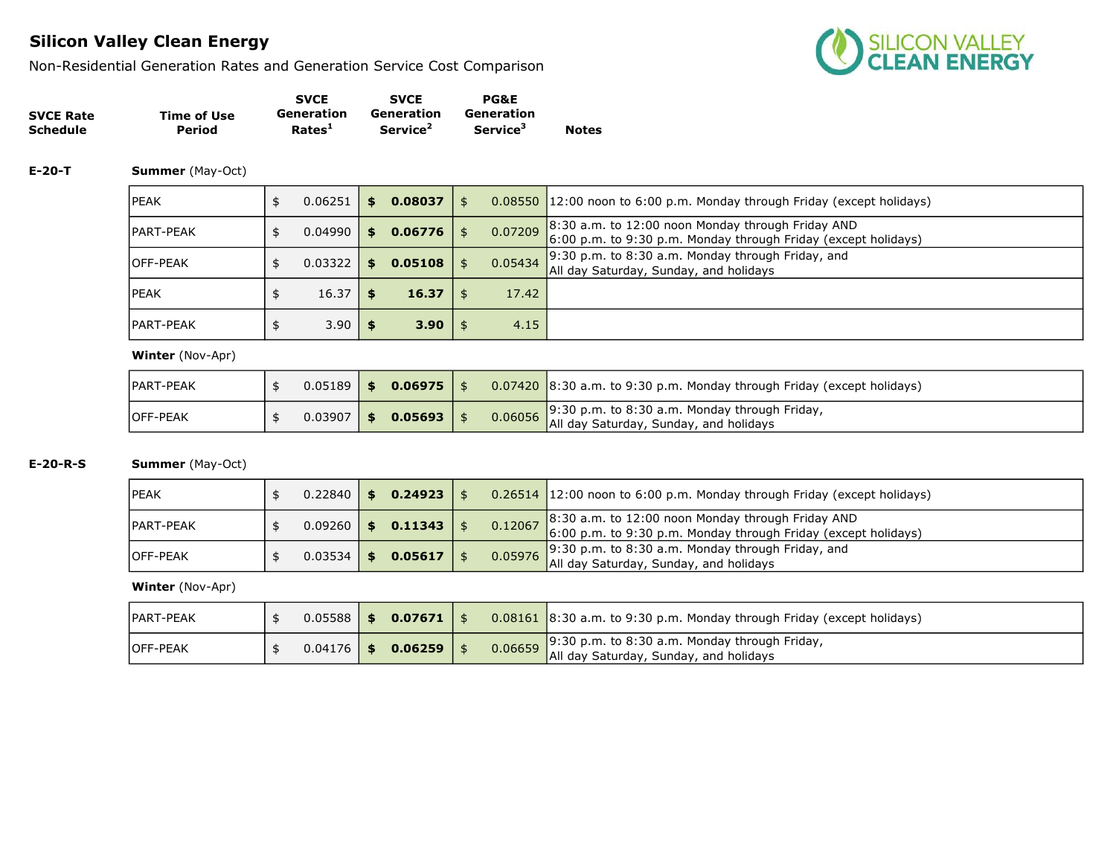Non-Residential Generation Rates and Generation Service Cost Comparison



|                  |             | <b>SVCE</b>        | <b>SVCE</b>          | <b>PG&amp;E</b>      |              |
|------------------|-------------|--------------------|----------------------|----------------------|--------------|
| <b>SVCE Rate</b> | Time of Use | Generation         | Generation           | Generation           |              |
| <b>Schedule</b>  | Period      | Rates <sup>1</sup> | Service <sup>2</sup> | Service <sup>3</sup> | <b>Notes</b> |

#### E-20-T Summer (May-Oct)

| <b>IPEAK</b>      | 0.06251 | \$  | 0.08037 | \$            | $0.08550$ 12:00 noon to 6:00 p.m. Monday through Friday (except holidays)                                                     |
|-------------------|---------|-----|---------|---------------|-------------------------------------------------------------------------------------------------------------------------------|
| <b>IPART-PEAK</b> | 0.04990 | S.  | 0.06776 | \$<br>0.07209 | $\vert$ 8:30 a.m. to 12:00 noon Monday through Friday AND<br>$6:00$ p.m. to 9:30 p.m. Monday through Friday (except holidays) |
| <b>OFF-PEAK</b>   | 0.03322 | \$. | 0.05108 | 0.05434       | 9:30 p.m. to 8:30 a.m. Monday through Friday, and<br>All day Saturday, Sunday, and holidays                                   |
| <b>IPEAK</b>      | 16.37   | \$  | 16.37   | 17.42         |                                                                                                                               |
| <b>IPART-PEAK</b> | 3.90    |     | 3.90    | 4.15          |                                                                                                                               |

#### Winter (Nov-Apr)

| PART-PEAK        | 0.05189 | - SS -       | $0.06975$   \$ |         | $0.07420$ 8:30 a.m. to 9:30 p.m. Monday through Friday (except holidays)                         |
|------------------|---------|--------------|----------------|---------|--------------------------------------------------------------------------------------------------|
| <b>IOFF-PEAK</b> | 0.03907 | $\mathbf{s}$ | $0.05693$   \$ | 0.06056 | $\sqrt{9:30}$ p.m. to 8:30 a.m. Monday through Friday,<br>All day Saturday, Sunday, and holidays |

### E-20-R-S Summer (May-Oct)

| <b>IPEAK</b>     | 0.22840 | \$   | $0.24923$   \$ |  | $0.26514$ 12:00 noon to 6:00 p.m. Monday through Friday (except holidays)                                                   |
|------------------|---------|------|----------------|--|-----------------------------------------------------------------------------------------------------------------------------|
| PART-PEAK        | 0.09260 | - \$ | 0.11343        |  | 0.12067 8:30 a.m. to 12:00 noon Monday through Friday AND<br>6:00 p.m. to 9:30 p.m. Monday through Friday (except holidays) |
| <b>IOFF-PEAK</b> | 0.03534 | - \$ | 0.05617        |  | 0.05976 9:30 p.m. to 8:30 a.m. Monday through Friday, and 0.05976 $\mu$ ll day Saturday, Sunday, and holidays               |

| <b>IPART-PEAK</b> | $0.05588$   \$ | $0.07671$   \$ |         | $0.08161$ 8:30 a.m. to 9:30 p.m. Monday through Friday (except holidays)                       |
|-------------------|----------------|----------------|---------|------------------------------------------------------------------------------------------------|
| <b>IOFF-PEAK</b>  | $0.04176$   \$ | $0.06259$      | 0.06659 | $\Box$ 9:30 p.m. to 8:30 a.m. Monday through Friday,<br>All day Saturday, Sunday, and holidays |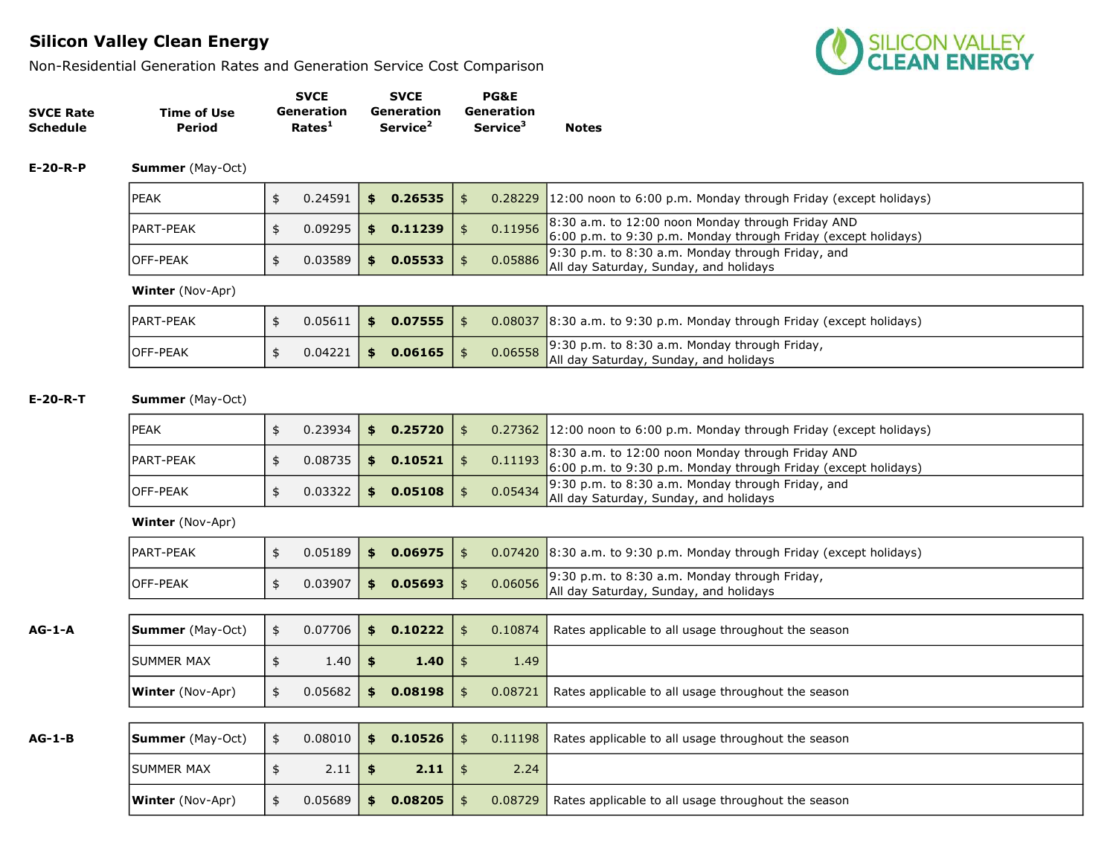Non-Residential Generation Rates and Generation Service Cost Comparison



|                  |             | <b>SVCE</b>        | <b>SVCE</b>          | <b>PG&amp;E</b>             |              |
|------------------|-------------|--------------------|----------------------|-----------------------------|--------------|
| <b>SVCE Rate</b> | Time of Use | Generation         | Generation           | Generation                  |              |
| <b>Schedule</b>  | Period      | Rates <sup>1</sup> | Service <sup>2</sup> | <b>Service</b> <sup>3</sup> | <b>Notes</b> |

E-20-R-P Summer (May-Oct)

| <b>IPEAK</b>      | 0.24591 |              | 0.26535 |  | $0.28229$ 12:00 noon to 6:00 p.m. Monday through Friday (except holidays)                                                   |
|-------------------|---------|--------------|---------|--|-----------------------------------------------------------------------------------------------------------------------------|
| <b>IPART-PEAK</b> | 0.09295 | $\mathbf{s}$ | 0.11239 |  | 0.11956 8:30 a.m. to 12:00 noon Monday through Friday AND<br>6:00 p.m. to 9:30 p.m. Monday through Friday (except holidays) |
| <b>IOFF-PEAK</b>  | 0.03589 | \$.          | 0.05533 |  | 0.05886 9:30 p.m. to 8:30 a.m. Monday through Friday, and<br>All day Saturday, Sunday, and holidays                         |

Winter (Nov-Apr)

| <b>IPART-PEAK</b> |  | $0.05611$ \$ 0.07555 \$ |  | 0.08037 8:30 a.m. to 9:30 p.m. Monday through Friday (except holidays)                                                               |
|-------------------|--|-------------------------|--|--------------------------------------------------------------------------------------------------------------------------------------|
| <b>IOFF-PEAK</b>  |  | $0.04221$ \$ 0.06165 \$ |  | 0.06558 9:30 p.m. to 8:30 a.m. Monday through Friday, $\frac{9:30 \text{ p.m.}}{2 \text{ N}}$ all day Saturday, Sunday, and holidays |

E-20-R-T Summer (May-Oct)

| IPEAK             |                | $0.23934$ \$ 0.25720 \$ |  | 0.27362 12:00 noon to 6:00 p.m. Monday through Friday (except holidays)                                                                                                   |
|-------------------|----------------|-------------------------|--|---------------------------------------------------------------------------------------------------------------------------------------------------------------------------|
| <b>IPART-PEAK</b> |                | $0.08735$ \$ 0.10521 \$ |  | 0.11193 8:30 a.m. to 12:00 noon Monday through Friday AND<br>6:00 p.m. to 9:30 p.m. Monday through Friday (except holidays)                                               |
| <b>IOFF-PEAK</b>  | $0.03322$   \$ | 0.05108                 |  | 0.05434 $\begin{array}{ l}9.30 \text{ p.m. to } 8.30 \text{ a.m.} \text{ Monday through Friday, and} \\ \hline \text{All day Saturday, Sunday, and holidays} \end{array}$ |

Winter (Nov-Apr)

| <b>JPART-PEAK</b> | 0.05189 | ∣ SS | $0.06975$   \$ |  | $\vert$ 0.07420 $\vert$ 8:30 a.m. to 9:30 p.m. Monday through Friday (except holidays)                     |
|-------------------|---------|------|----------------|--|------------------------------------------------------------------------------------------------------------|
| <b>IOFF-PEAK</b>  | 0.03907 | - \$ | $0.05693$   \$ |  | 0.06056 9:30 p.m. to 8:30 a.m. Monday through Friday, $\frac{1}{2}$ All day Saturday, Sunday, and holidays |

**AG-1-A** Summer (May-Oct)  $\frac{1}{3}$  0.07706  $\frac{1}{3}$  0.10222  $\frac{1}{3}$  0.10874 Rates applicable to all usage throughout the season

|               | <b>ISUMMER MAX</b>      | \$<br>1.40         | - \$ | 1.40           | - \$       | 1.49    |                                                     |
|---------------|-------------------------|--------------------|------|----------------|------------|---------|-----------------------------------------------------|
|               | <b>Winter</b> (Nov-Apr) | \$<br>0.05682      | IS-  | $0.08198$   \$ |            | 0.08721 | Rates applicable to all usage throughout the season |
|               |                         |                    |      |                |            |         |                                                     |
| <b>AG-1-B</b> | <b>Summer</b> (May-Oct) | \$<br>$0.08010$ \$ |      | 0.10526        | \$         | 0.11198 | Rates applicable to all usage throughout the season |
|               | <b>ISUMMER MAX</b>      | \$<br>2.11         | l \$ | $2.11$   \$    |            | 2.24    |                                                     |
|               | <b>Winter</b> (Nov-Apr) | \$<br>0.05689      | -\$  | 0.08205        | $\sqrt{5}$ | 0.08729 | Rates applicable to all usage throughout the season |
|               |                         |                    |      |                |            |         |                                                     |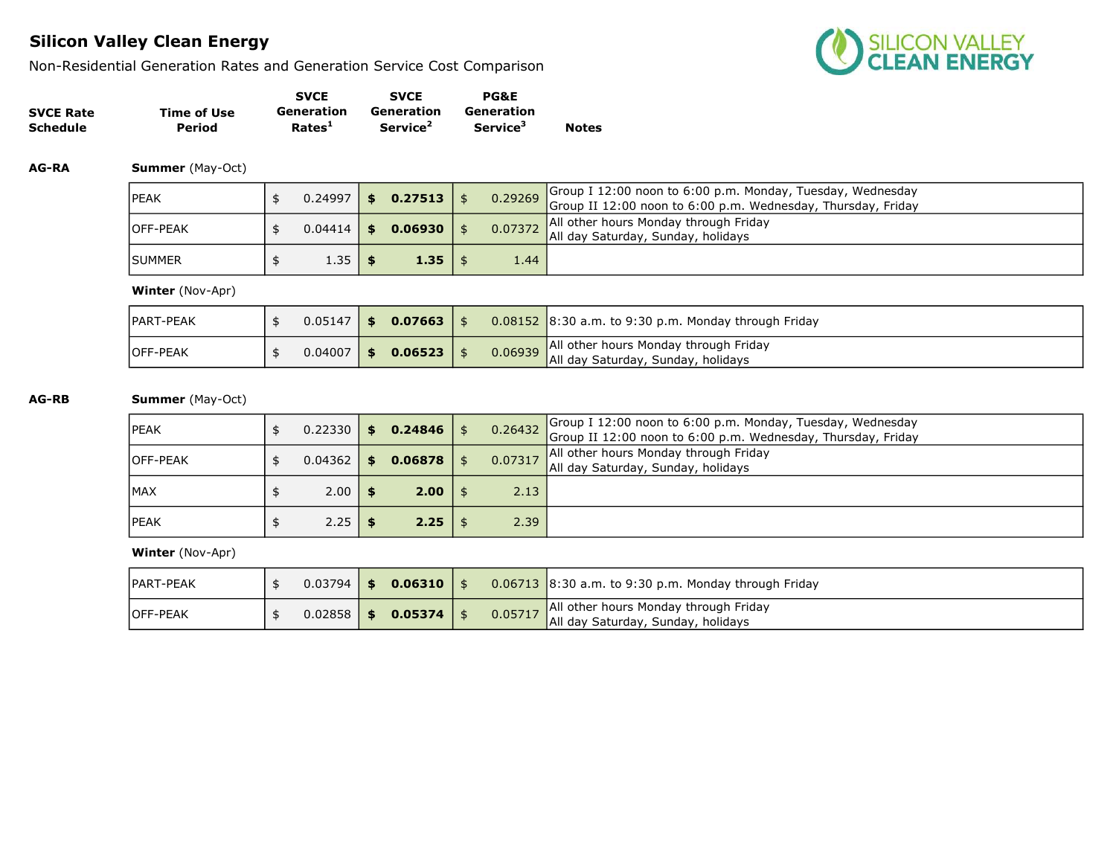Non-Residential Generation Rates and Generation Service Cost Comparison



|                  |             | <b>SVCE</b>        | <b>SVCE</b>          | <b>PG&amp;E</b>             |              |
|------------------|-------------|--------------------|----------------------|-----------------------------|--------------|
| <b>SVCE Rate</b> | Time of Use | Generation         | Generation           | Generation                  |              |
| <b>Schedule</b>  | Period      | Rates <sup>1</sup> | Service <sup>2</sup> | <b>Service</b> <sup>3</sup> | <b>Notes</b> |

AG-RA Summer (May-Oct)

| <b>IPEAK</b>     | 0.24997 | \$           | $0.27513$ \$ |      | Group I 12:00 noon to 6:00 p.m. Monday, Tuesday, Wednesday<br>0.29269 Group II 12:00 noon to 6:00 p.m. Wednesday, Thursday, Friday |
|------------------|---------|--------------|--------------|------|------------------------------------------------------------------------------------------------------------------------------------|
| <b>IOFF-PEAK</b> | 0.04414 | $\mathbf{s}$ | 0.06930      |      | All other hours Monday through Friday<br>0.07372 All day Saturday, Sunday, holidays                                                |
| <b>ISUMMER</b>   | 1.35    |              | 1.35         | 1.44 |                                                                                                                                    |

Winter (Nov-Apr)

| <b>IPART-PEAK</b> | 0.05147 | \$  | 0.07663 |         | $0.08152$ 8:30 a.m. to 9:30 p.m. Monday through Friday                      |
|-------------------|---------|-----|---------|---------|-----------------------------------------------------------------------------|
| <b>OFF-PEAK</b>   | 0.04007 | \$. | 0.06523 | 0.06939 | All other hours Monday through Friday<br>All day Saturday, Sunday, holidays |

AG-RB Summer (May-Oct)

| <b>IPEAK</b>     | 0.22330 | - \$ | $0.24846$   \$    |      | 0.26432 Group I 12:00 noon to 6:00 p.m. Monday, Tuesday, Wednesday<br>Group II 12:00 noon to 6:00 p.m. Wednesday, Thursday, Friday |
|------------------|---------|------|-------------------|------|------------------------------------------------------------------------------------------------------------------------------------|
| <b>IOFF-PEAK</b> | 0.04362 | - \$ | $0.06878$ \$      |      | All other hours Monday through Friday<br>0.07317 All day Saturday, Sunday, holidays                                                |
| IMAX             | 2.00    |      | $2.00$   \$       | 2.13 |                                                                                                                                    |
| <b>IPEAK</b>     | 2.25    |      | $2.25 \;   \;$ \$ | 2.39 |                                                                                                                                    |

| <b>PART-PEAK</b> | $0.03794$ \$ | $0.06310 +$    |         | $0.06713$ 8:30 a.m. to 9:30 p.m. Monday through Friday                      |
|------------------|--------------|----------------|---------|-----------------------------------------------------------------------------|
| <b>IOFF-PEAK</b> | $0.02858$ \$ | $0.05374$   \$ | 0.05717 | All other hours Monday through Friday<br>All day Saturday, Sunday, holidays |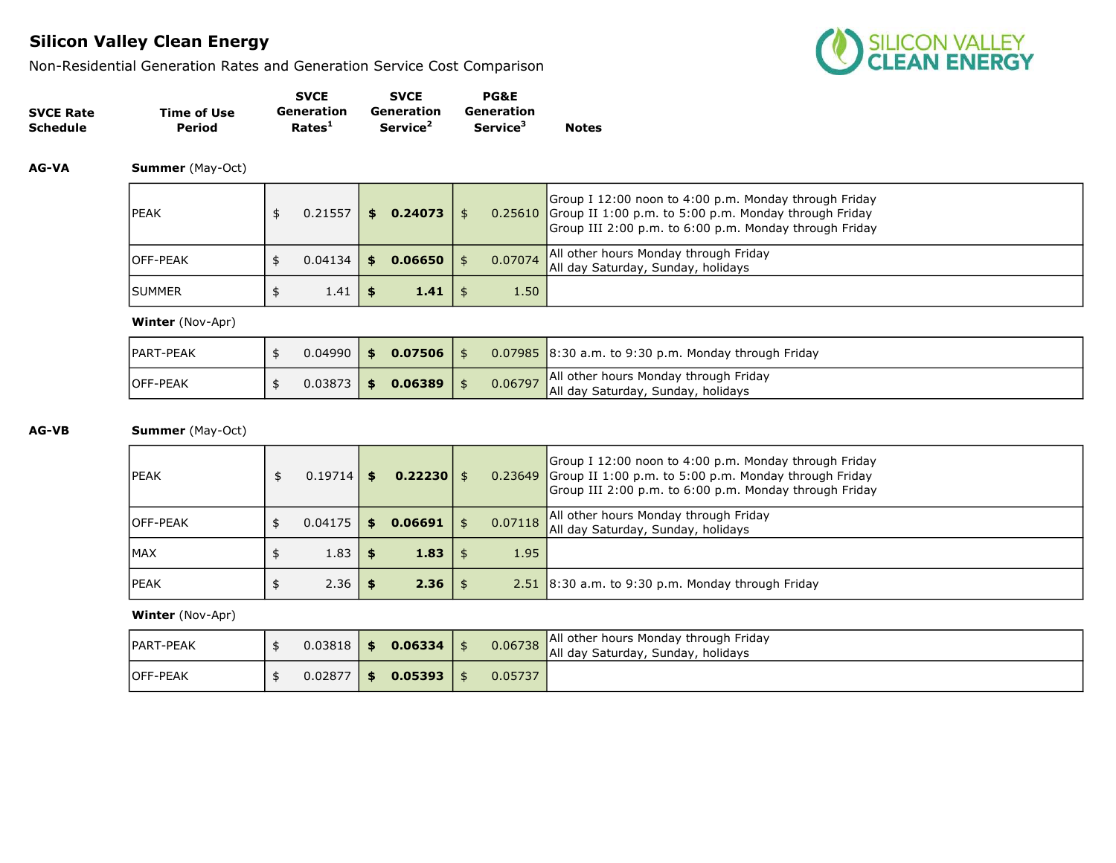Non-Residential Generation Rates and Generation Service Cost Comparison



|                  |             | <b>SVCE</b>        | <b>SVCE</b>          | <b>PG&amp;E</b>             |              |
|------------------|-------------|--------------------|----------------------|-----------------------------|--------------|
| <b>SVCE Rate</b> | Time of Use | Generation         | Generation           | Generation                  |              |
| Schedule         | Period      | Rates <sup>1</sup> | Service <sup>2</sup> | <b>Service</b> <sup>3</sup> | <b>Notes</b> |

AG-VA Summer (May-Oct)

| <b>IPEAK</b>     | 0.21557 | S. | $0.24073$   \$    |         | Group I 12:00 noon to 4:00 p.m. Monday through Friday<br>$0.25610$ Group II 1:00 p.m. to 5:00 p.m. Monday through Friday<br>Group III 2:00 p.m. to 6:00 p.m. Monday through Friday |
|------------------|---------|----|-------------------|---------|------------------------------------------------------------------------------------------------------------------------------------------------------------------------------------|
| <b>IOFF-PEAK</b> | 0.04134 |    | $0.06650$   \$    | 0.07074 | All other hours Monday through Friday<br>All day Saturday, Sunday, holidays                                                                                                        |
| <b>ISUMMER</b>   | 1.41    |    | $1.41 \;   \;$ \$ | 1.50    |                                                                                                                                                                                    |

Winter (Nov-Apr)

| PART-PEAK       |  | $0.04990$ 5 0.07506 $\blacksquare$ |         | $\vert 0.07985 \vert 8:30$ a.m. to 9:30 p.m. Monday through Friday          |
|-----------------|--|------------------------------------|---------|-----------------------------------------------------------------------------|
| <b>OFF-PEAK</b> |  | $0.03873$ \$ 0.06389               | 0.06797 | All other hours Monday through Friday<br>All day Saturday, Sunday, holidays |

### AG-VB Summer (May-Oct)

| <b>IPEAK</b>     | 0.19714 | \$<br>$0.22230$ \$ |      |         | Group I 12:00 noon to 4:00 p.m. Monday through Friday<br>0.23649 Group II 1:00 p.m. to 5:00 p.m. Monday through Friday<br>Group III 2:00 p.m. to 6:00 p.m. Monday through Friday |
|------------------|---------|--------------------|------|---------|----------------------------------------------------------------------------------------------------------------------------------------------------------------------------------|
| <b>IOFF-PEAK</b> | 0.04175 | \$<br>0.06691      |      | 0.07118 | All other hours Monday through Friday<br>All day Saturday, Sunday, holidays                                                                                                      |
| <b>IMAX</b>      | 1.83    | 1.83               | l Si | 1.95    |                                                                                                                                                                                  |
| <b>IPEAK</b>     | 2.36    | $2.36 \mid$ \$     |      |         | $2.51$ 8:30 a.m. to 9:30 p.m. Monday through Friday                                                                                                                              |

| IPART-PEAK      |  | $0.03818$ \$ 0.06334 \$ | 0.06738 | All other hours Monday through Friday<br>All day Saturday, Sunday, holidays |
|-----------------|--|-------------------------|---------|-----------------------------------------------------------------------------|
| <b>OFF-PEAK</b> |  | $0.02877$ \$ 0.05393 \  | 0.05737 |                                                                             |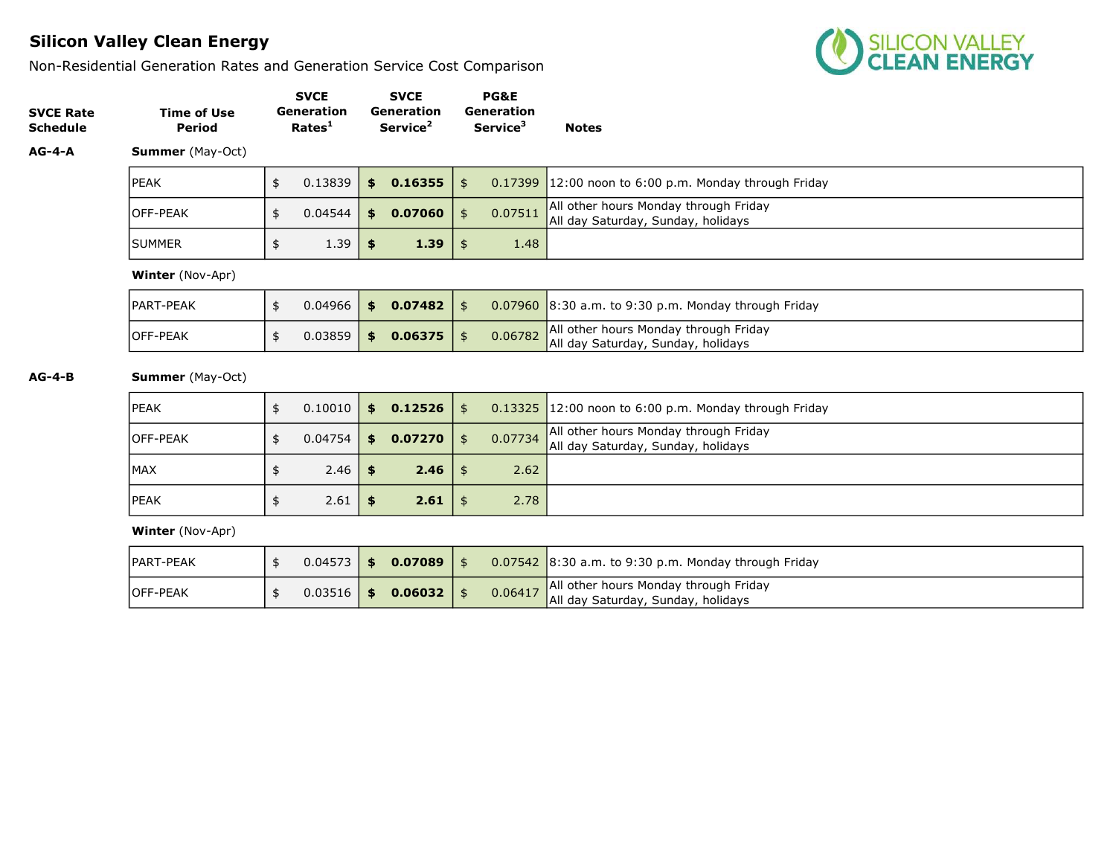Non-Residential Generation Rates and Generation Service Cost Comparison



| <b>SVCE Rate</b><br><b>Schedule</b> | <b>Time of Use</b><br>Period |               | <b>SVCE</b><br><b>Generation</b><br>Rates <sup>1</sup> | <b>SVCE</b><br><b>Generation</b><br>Service <sup>2</sup> |      |                | <b>PG&amp;E</b><br><b>Generation</b><br>Service <sup>3</sup> | <b>Notes</b>                                                                |
|-------------------------------------|------------------------------|---------------|--------------------------------------------------------|----------------------------------------------------------|------|----------------|--------------------------------------------------------------|-----------------------------------------------------------------------------|
| $AG-4-A$                            | <b>Summer</b> (May-Oct)      |               |                                                        |                                                          |      |                |                                                              |                                                                             |
|                                     | <b>IPEAK</b>                 | \$            | 0.13839                                                | 0.16355<br>\$                                            |      | \$             | 0.17399                                                      | $12:00$ noon to 6:00 p.m. Monday through Friday                             |
|                                     | <b>OFF-PEAK</b>              | \$            | 0.04544                                                | 0.07060<br>\$                                            |      | $\frac{1}{2}$  | 0.07511                                                      | All other hours Monday through Friday<br>All day Saturday, Sunday, holidays |
|                                     | <b>SUMMER</b>                | \$            | 1.39                                                   | \$                                                       | 1.39 | \$             | 1.48                                                         |                                                                             |
|                                     | <b>Winter</b> (Nov-Apr)      |               |                                                        |                                                          |      |                |                                                              |                                                                             |
|                                     | IPART-PEAK                   | \$            | 0.04966                                                | \$0.07482                                                |      | $\mathfrak{s}$ |                                                              | $0.07960$ 8:30 a.m. to 9:30 p.m. Monday through Friday                      |
|                                     | OFF-PEAK                     | \$            | 0.03859                                                | 0.06375<br>\$                                            |      | \$             | 0.06782                                                      | All other hours Monday through Friday<br>All day Saturday, Sunday, holidays |
| $AG-4-B$                            | <b>Summer</b> (May-Oct)      |               |                                                        |                                                          |      |                |                                                              |                                                                             |
|                                     | PEAK                         | $\frac{1}{2}$ | 0.10010                                                | 0.12526<br>\$                                            |      | $\mathfrak{s}$ | 0.13325                                                      | $12:00$ noon to 6:00 p.m. Monday through Friday                             |
|                                     | . <b>. .</b>                 |               | - - --- -                                              |                                                          |      |                | $\frac{1}{2}$                                                | <b>All other hours Monday through Friday</b>                                |

| <b>IOFF-PEAK</b> | $0.04754$ \$ | $0.07270$ \$ |      | All other hours Monday through Friday<br>0.07734 All day Saturday, Sunday, holidays |
|------------------|--------------|--------------|------|-------------------------------------------------------------------------------------|
| MAX              | $2.46$ \$    | 2.46         | 2.62 |                                                                                     |
| <b>IPEAK</b>     | $2.61$ \$    | 2.61         | 2.78 |                                                                                     |

| <b>IPART-PEAK</b> | $0.04573$   \$ |        | $0.07089$   \$ |         | $0.07542$ 8:30 a.m. to 9:30 p.m. Monday through Friday                      |
|-------------------|----------------|--------|----------------|---------|-----------------------------------------------------------------------------|
| <b>OFF-PEAK</b>   | 0.03516        | / \$ / | $0.06032$   \$ | 0.06417 | All other hours Monday through Friday<br>All day Saturday, Sunday, holidays |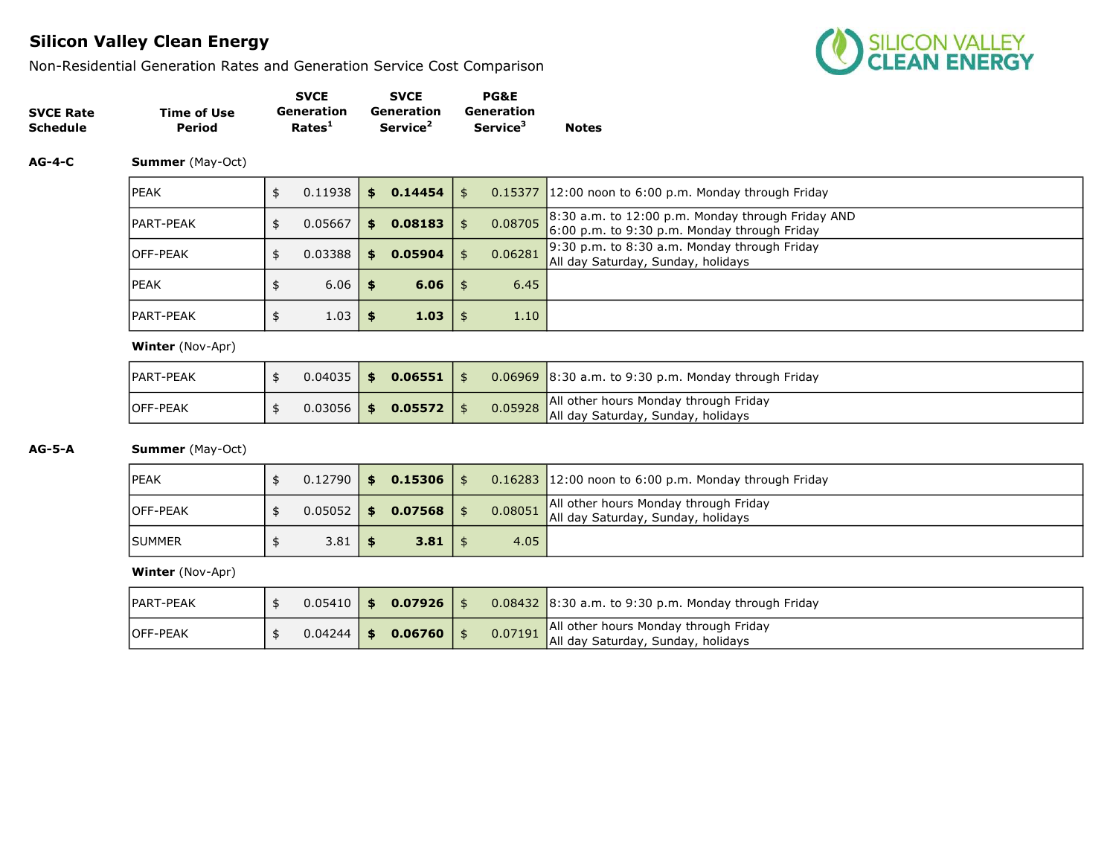Non-Residential Generation Rates and Generation Service Cost Comparison



|                  |             | <b>SVCE</b>        | <b>SVCE</b>          | <b>PG&amp;E</b>             |              |
|------------------|-------------|--------------------|----------------------|-----------------------------|--------------|
| <b>SVCE Rate</b> | Time of Use | Generation         | Generation           | Generation                  |              |
| <b>Schedule</b>  | Period      | Rates <sup>1</sup> | Service <sup>2</sup> | <b>Service</b> <sup>3</sup> | <b>Notes</b> |

### AG-4-C Summer (May-Oct)

| <b>IPEAK</b>      | 0.11938 | \$. | 0.14454 | \$            | $0.15377$ 12:00 noon to 6:00 p.m. Monday through Friday                                             |
|-------------------|---------|-----|---------|---------------|-----------------------------------------------------------------------------------------------------|
| <b>IPART-PEAK</b> | 0.05667 | \$  | 0.08183 | \$<br>0.08705 | $8:30$ a.m. to 12:00 p.m. Monday through Friday AND<br>6:00 p.m. to 9:30 p.m. Monday through Friday |
| <b>OFF-PEAK</b>   | 0.03388 | SS. | 0.05904 | \$<br>0.06281 | $9:30$ p.m. to 8:30 a.m. Monday through Friday<br>All day Saturday, Sunday, holidays                |
| <b>IPEAK</b>      | 6.06    | \$  | 6.06    | \$<br>6.45    |                                                                                                     |
| <b>IPART-PEAK</b> | 1.03    | \$  | 1.03    | \$<br>1.10    |                                                                                                     |

Winter (Nov-Apr)

| <b>IPART-PEAK</b> | $0.04035$ \$   | $0.06551$   \$ |  | $0.06969$ 8:30 a.m. to 9:30 p.m. Monday through Friday                              |
|-------------------|----------------|----------------|--|-------------------------------------------------------------------------------------|
| <b>IOFF-PEAK</b>  | $0.03056$   \$ | $0.05572$   \$ |  | 0.05928 All other hours Monday through Friday<br>All day Saturday, Sunday, holidays |

### AG-5-A Summer (May-Oct)

| <b>IPEAK</b>     | $0.12790$ 5    | $0.15306$   \$ |         | $0.16283$ 12:00 noon to 6:00 p.m. Monday through Friday                     |
|------------------|----------------|----------------|---------|-----------------------------------------------------------------------------|
| <b>IOFF-PEAK</b> | $0.05052$   \$ | $0.07568$   \$ | 0.08051 | All other hours Monday through Friday<br>All day Saturday, Sunday, holidays |
| <b>ISUMMER</b>   | 3.81           | $3.81 \t5$     | 4.05    |                                                                             |

| <b>IPART-PEAK</b> | $0.05410$   \$ | $0.07926$   \$ |  | $\vert 0.08432 \vert 8.30$ a.m. to 9:30 p.m. Monday through Friday                  |
|-------------------|----------------|----------------|--|-------------------------------------------------------------------------------------|
| <b>OFF-PEAK</b>   | $0.04244$   \$ | $0.06760$   \$ |  | All other hours Monday through Friday<br>0.07191 All day Saturday, Sunday, holidays |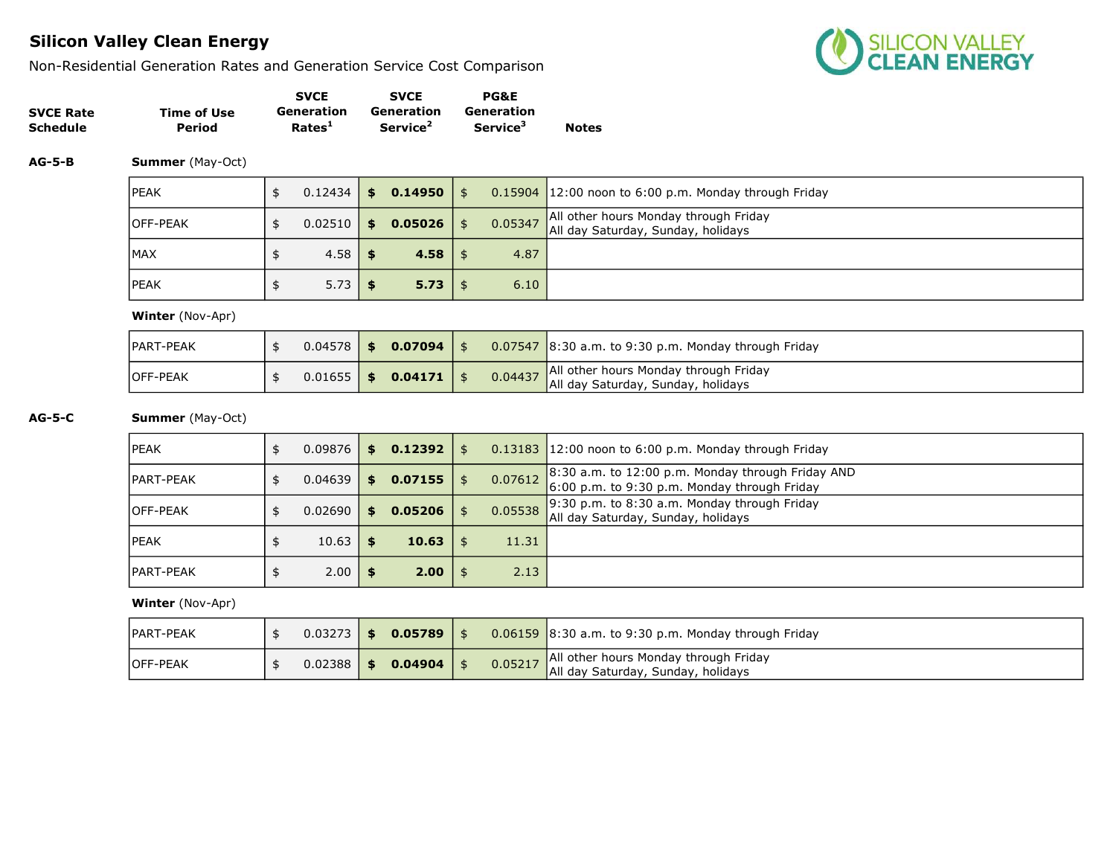Non-Residential Generation Rates and Generation Service Cost Comparison



|                  |             | <b>SVCE</b>        | <b>SVCE</b>          | <b>PG&amp;E</b>             |              |
|------------------|-------------|--------------------|----------------------|-----------------------------|--------------|
| <b>SVCE Rate</b> | Time of Use | Generation         | Generation           | Generation                  |              |
| <b>Schedule</b>  | Period      | Rates <sup>1</sup> | Service <sup>2</sup> | <b>Service</b> <sup>3</sup> | <b>Notes</b> |

AG-5-B Summer (May-Oct)

| <b>IPEAK</b>     | 0.12434 | $\frac{1}{2}$ 0.14950 $\frac{1}{2}$ |         | $0.15904$ 12:00 noon to 6:00 p.m. Monday through Friday                     |
|------------------|---------|-------------------------------------|---------|-----------------------------------------------------------------------------|
| <b>IOFF-PEAK</b> | 0.02510 | \$<br>$0.05026$ \$                  | 0.05347 | All other hours Monday through Friday<br>All day Saturday, Sunday, holidays |
| <b>IMAX</b>      | 4.58    | $4.58$   \$                         | 4.87    |                                                                             |
| <b>IPEAK</b>     | 5.73    | $5.73 \mid$ \$                      | 6.10    |                                                                             |

Winter (Nov-Apr)

| <b>PART-PEAK</b> |  | $0.04578$ \$ 0.07094 |         | $\sqrt{0.07547}$ 8:30 a.m. to 9:30 p.m. Monday through Friday               |
|------------------|--|----------------------|---------|-----------------------------------------------------------------------------|
| <b>IOFF-PEAK</b> |  | $0.01655$ \$ 0.04171 | 0.04437 | All other hours Monday through Friday<br>All day Saturday, Sunday, holidays |

AG-5-C Summer (May-Oct)

| <b>IPEAK</b> | 0.09876 | \$   | 0.12392 | \$            | $0.13183$ 12:00 noon to 6:00 p.m. Monday through Friday                                               |
|--------------|---------|------|---------|---------------|-------------------------------------------------------------------------------------------------------|
| IPART-PEAK   | 0.04639 | \$   | 0.07155 | \$<br>0.07612 | $8:30$ a.m. to 12:00 p.m. Monday through Friday AND<br>$6:00$ p.m. to 9:30 p.m. Monday through Friday |
| lOFF-PEAK    | 0.02690 | \$   | 0.05206 | 0.05538       | $9:30$ p.m. to 8:30 a.m. Monday through Friday<br>All day Saturday, Sunday, holidays                  |
| PEAK         | 10.63   | - \$ | 10.63   | 11.31         |                                                                                                       |
| IPART-PEAK   | 2.00    | - 56 | 2.00    | \$<br>2.13    |                                                                                                       |

| <b>PART-PEAK</b> | $0.03273$ \$ | 0.05789       |         | $0.06159$ 8:30 a.m. to 9:30 p.m. Monday through Friday                      |
|------------------|--------------|---------------|---------|-----------------------------------------------------------------------------|
| <b>IOFF-PEAK</b> | 0.02388      | \$<br>0.04904 | 0.05217 | All other hours Monday through Friday<br>All day Saturday, Sunday, holidays |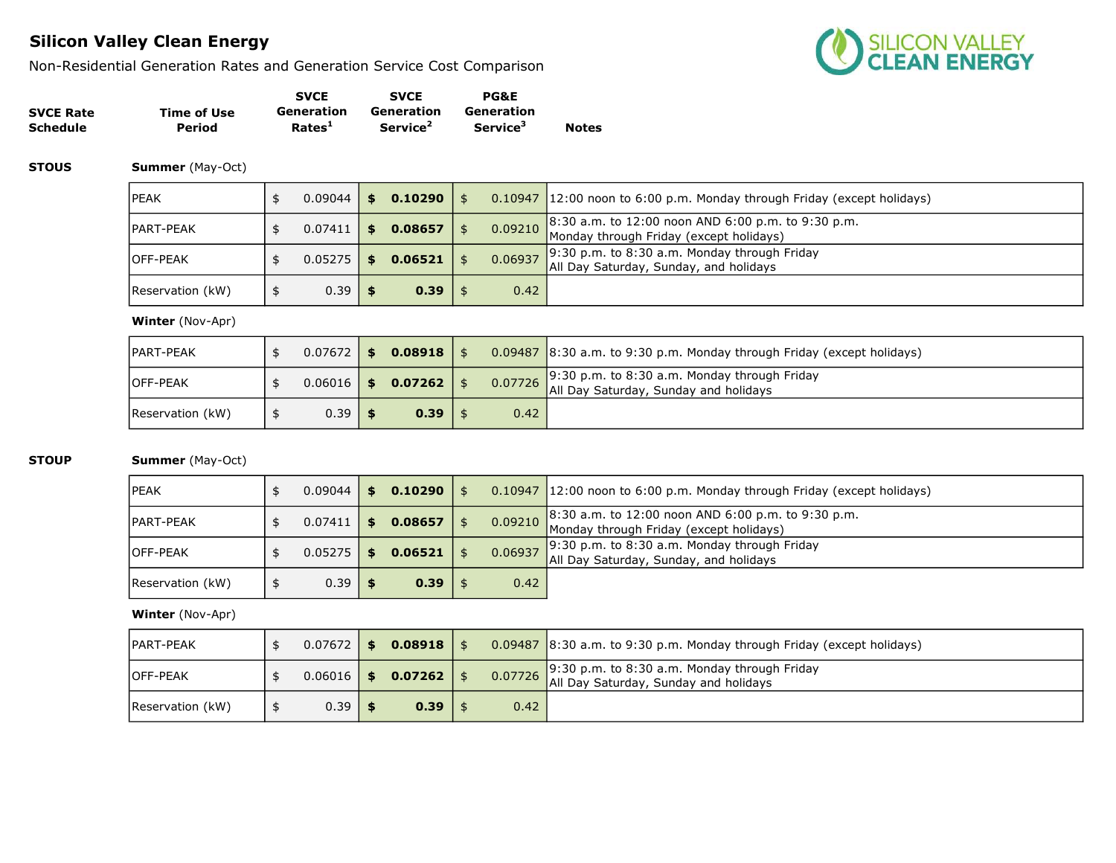Non-Residential Generation Rates and Generation Service Cost Comparison



|                  |             | <b>SVCE</b>        | <b>SVCE</b>          | <b>PG&amp;E</b>             |              |
|------------------|-------------|--------------------|----------------------|-----------------------------|--------------|
| <b>SVCE Rate</b> | Time of Use | Generation         | Generation           | Generation                  |              |
| <b>Schedule</b>  | Period      | Rates <sup>1</sup> | Service <sup>2</sup> | <b>Service</b> <sup>3</sup> | <b>Notes</b> |

**STOUS Summer** (May-Oct)

| lpeak            | 0.09044 | s. | 0.10290 |         | 0.10947 12:00 noon to 6:00 p.m. Monday through Friday (except holidays)                               |
|------------------|---------|----|---------|---------|-------------------------------------------------------------------------------------------------------|
| IPART-PEAK       | 0.07411 | S. | 0.08657 |         | 8:30 a.m. to 12:00 noon AND 6:00 p.m. to 9:30 p.m.<br>0.09210 Monday through Friday (except holidays) |
| lOFF-PEAK        | 0.05275 |    | 0.06521 | 0.06937 | $9:30$ p.m. to 8:30 a.m. Monday through Friday<br>All Day Saturday, Sunday, and holidays              |
| Reservation (kW) | 0.39    |    | 0.39    | 0.42    |                                                                                                       |

#### Winter (Nov-Apr)

| <b>IPART-PEAK</b> | $0.07672$ \$ | $0.08918$   \$          |      | $0.09487$ 8:30 a.m. to 9:30 p.m. Monday through Friday (except holidays) |
|-------------------|--------------|-------------------------|------|--------------------------------------------------------------------------|
| <b>IOFF-PEAK</b>  |              | $0.06016$ \$ 0.07262 \$ |      | $0.07726$ 9:30 p.m. to 8:30 a.m. Monday through Friday and holidays      |
| Reservation (kW)  | 0.39         | $0.39$   \$             | 0.42 |                                                                          |

### **STOUP Summer** (May-Oct)

| PEAK             | 0.09044 |      | 0.10290 |         | 0.10947 12:00 noon to 6:00 p.m. Monday through Friday (except holidays)                         |
|------------------|---------|------|---------|---------|-------------------------------------------------------------------------------------------------|
| PART-PEAK        | 0.07411 | l Si | 0.08657 | 0.09210 | $8:30$ a.m. to 12:00 noon AND 6:00 p.m. to 9:30 p.m.<br>Monday through Friday (except holidays) |
| OFF-PEAK         | 0.05275 |      | 0.06521 | 0.06937 | $9:30$ p.m. to 8:30 a.m. Monday through Friday<br>All Day Saturday, Sunday, and holidays        |
| Reservation (kW) | 0.39    |      | $0.39$  | 0.42    |                                                                                                 |

| <b>IPART-PEAK</b> | 0.07672      | \$<br>0.08918  |      | $0.09487$ 8:30 a.m. to 9:30 p.m. Monday through Friday (except holidays)              |
|-------------------|--------------|----------------|------|---------------------------------------------------------------------------------------|
| <b>IOFF-PEAK</b>  | $0.06016$ \$ | $0.07262$   \$ |      | 9:30 p.m. to 8:30 a.m. Monday through Friday<br>all Day Saturday, Sunday and holidays |
| Reservation (kW)  | 0.39         | 0.39           | 0.42 |                                                                                       |